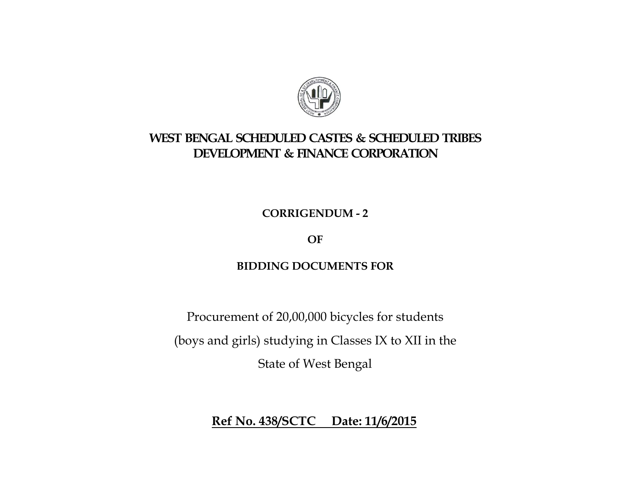

## **WEST BENGAL SCHEDULED CASTES & SCHEDULED TRIBES DEVELOPMENT & FINANCE CORPORATION**

**CORRIGENDUM - 2** 

**OF** 

## **BIDDING DOCUMENTS FOR**

Procurement of 20,00,000 bicycles for students (boys and girls) studying in Classes IX to XII in the State of West Bengal

**Ref No. 438/SCTC Date: 11/6/2015**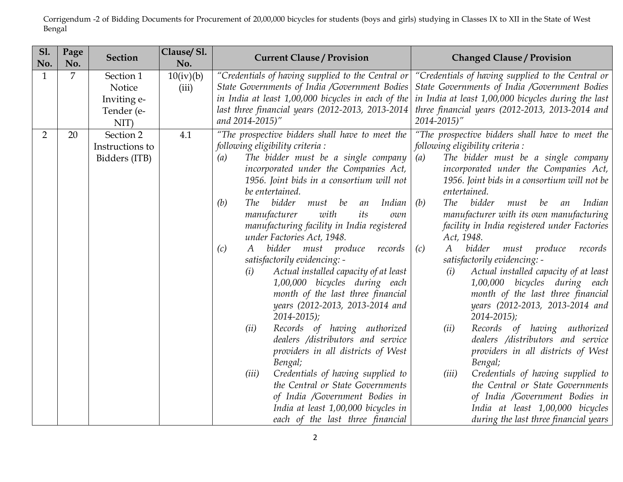Corrigendum -2 of Bidding Documents for Procurement of 20,00,000 bicycles for students (boys and girls) studying in Classes IX to XII in the State of West Bengal

| <b>S1.</b><br>No. | Page<br>No. | <b>Section</b>                                           | Clause/Sl.<br>No.  | <b>Current Clause / Provision</b>                                                                                                                                                                                                                                                                                                                                                                                                                                                                                                                                                                                                                                                                                                                                                                                                                                                                                                                                                             | <b>Changed Clause / Provision</b>                                                                                                                                                                                                                                                                                                                                                                                                                                                                                                                                                                                                                                                                                                                                                                                                                                                                                                                                                                                 |
|-------------------|-------------|----------------------------------------------------------|--------------------|-----------------------------------------------------------------------------------------------------------------------------------------------------------------------------------------------------------------------------------------------------------------------------------------------------------------------------------------------------------------------------------------------------------------------------------------------------------------------------------------------------------------------------------------------------------------------------------------------------------------------------------------------------------------------------------------------------------------------------------------------------------------------------------------------------------------------------------------------------------------------------------------------------------------------------------------------------------------------------------------------|-------------------------------------------------------------------------------------------------------------------------------------------------------------------------------------------------------------------------------------------------------------------------------------------------------------------------------------------------------------------------------------------------------------------------------------------------------------------------------------------------------------------------------------------------------------------------------------------------------------------------------------------------------------------------------------------------------------------------------------------------------------------------------------------------------------------------------------------------------------------------------------------------------------------------------------------------------------------------------------------------------------------|
| $\mathbf{1}$      | 7           | Section 1<br>Notice<br>Inviting e-<br>Tender (e-<br>NIT) | 10(iv)(b)<br>(iii) | "Credentials of having supplied to the Central or<br>State Governments of India /Government Bodies<br>in India at least 1,00,000 bicycles in each of the<br>last three financial years (2012-2013, 2013-2014)<br>and 2014-2015)"                                                                                                                                                                                                                                                                                                                                                                                                                                                                                                                                                                                                                                                                                                                                                              | "Credentials of having supplied to the Central or<br>State Governments of India /Government Bodies<br>in India at least 1,00,000 bicycles during the last<br>three financial years (2012-2013, 2013-2014 and<br>$2014 - 2015$ "                                                                                                                                                                                                                                                                                                                                                                                                                                                                                                                                                                                                                                                                                                                                                                                   |
| 2                 | 20          | Section 2<br>Instructions to<br>Bidders (ITB)            | 4.1                | "The prospective bidders shall have to meet the<br>following eligibility criteria :<br>The bidder must be a single company<br>(a)<br>incorporated under the Companies Act,<br>1956. Joint bids in a consortium will not<br>be entertained.<br>(b)<br>The bidder must be<br>Indian<br>an<br>with<br>its<br>manufacturer<br>own<br>manufacturing facility in India registered<br>under Factories Act, 1948.<br>bidder must produce records<br>(c)<br>A<br>satisfactorily evidencing: -<br>Actual installed capacity of at least<br>(i)<br>1,00,000 bicycles during each<br>month of the last three financial<br>years (2012-2013, 2013-2014 and<br>$2014 - 2015$ ;<br>(ii)<br>Records of having authorized<br>dealers /distributors and service<br>providers in all districts of West<br>Bengal;<br>Credentials of having supplied to<br>(iii)<br>the Central or State Governments<br>of India /Government Bodies in<br>India at least 1,00,000 bicycles in<br>each of the last three financial | "The prospective bidders shall have to meet the<br>following eligibility criteria :<br>The bidder must be a single company<br>(a)<br>incorporated under the Companies Act,<br>1956. Joint bids in a consortium will not be<br>entertained.<br>The bidder<br>(b)<br>Indian<br>must<br>be<br>an<br>manufacturer with its own manufacturing<br>facility in India registered under Factories<br>Act, 1948.<br>$\boldsymbol{A}$<br>bidder<br>(c)<br>must produce<br>records<br>satisfactorily evidencing: -<br>Actual installed capacity of at least<br>(i)<br>1,00,000 bicycles during each<br>month of the last three financial<br>years (2012-2013, 2013-2014 and<br>$2014 - 2015$ ;<br>(ii)<br>Records of having authorized<br>dealers /distributors and service<br>providers in all districts of West<br>Bengal;<br>(iii)<br>Credentials of having supplied to<br>the Central or State Governments<br>of India /Government Bodies in<br>India at least 1,00,000 bicycles<br>during the last three financial years |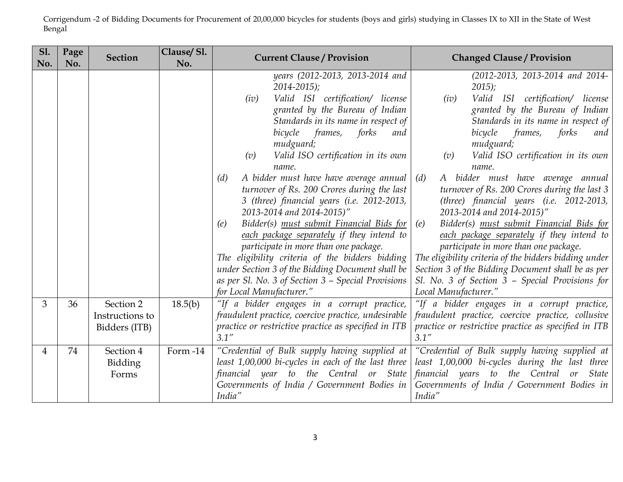Corrigendum -2 of Bidding Documents for Procurement of 20,00,000 bicycles for students (boys and girls) studying in Classes IX to XII in the State of West Bengal

| <b>S1.</b><br>No. | Page<br>No. | <b>Section</b>                                | Clause/Sl.<br>No. | <b>Current Clause / Provision</b>                                                                                                                                                                                                                                                                                                                                                                                                                                                                                                                                                                                                                                                                                                                                                             | <b>Changed Clause / Provision</b>                                                                                                                                                                                                                                                                                                                                                                                                                                                                                                                                                                                                                                                                                                                                                 |
|-------------------|-------------|-----------------------------------------------|-------------------|-----------------------------------------------------------------------------------------------------------------------------------------------------------------------------------------------------------------------------------------------------------------------------------------------------------------------------------------------------------------------------------------------------------------------------------------------------------------------------------------------------------------------------------------------------------------------------------------------------------------------------------------------------------------------------------------------------------------------------------------------------------------------------------------------|-----------------------------------------------------------------------------------------------------------------------------------------------------------------------------------------------------------------------------------------------------------------------------------------------------------------------------------------------------------------------------------------------------------------------------------------------------------------------------------------------------------------------------------------------------------------------------------------------------------------------------------------------------------------------------------------------------------------------------------------------------------------------------------|
|                   |             |                                               |                   | years (2012-2013, 2013-2014 and<br>$2014 - 2015$ ;<br>Valid ISI certification/ license<br>(iv)<br>granted by the Bureau of Indian<br>Standards in its name in respect of<br>bicycle<br>frames,<br>forks<br>and<br>mudguard;<br>Valid ISO certification in its own<br>(v)<br>name.<br>A bidder must have have average annual<br>(d)<br>turnover of Rs. 200 Crores during the last<br>3 (three) financial years (i.e. 2012-2013,<br>2013-2014 and 2014-2015)"<br>Bidder(s) must submit Financial Bids for<br>(e)<br>each package separately if they intend to<br>participate in more than one package.<br>The eligibility criteria of the bidders bidding<br>under Section 3 of the Bidding Document shall be<br>as per Sl. No. 3 of Section 3 - Special Provisions<br>for Local Manufacturer." | (2012-2013, 2013-2014 and 2014-<br>$2015$ ;<br>Valid ISI certification/ license<br>(iv)<br>granted by the Bureau of Indian<br>Standards in its name in respect of<br>bicycle<br>frames,<br>forks<br>and<br>mudguard;<br>Valid ISO certification in its own<br>(v)<br>name.<br>A bidder must have average annual<br>(d)<br>turnover of Rs. 200 Crores during the last 3<br>(three) financial years (i.e. 2012-2013,<br>2013-2014 and 2014-2015)"<br>Bidder(s) must submit Financial Bids for<br>(e)<br>each package separately if they intend to<br>participate in more than one package.<br>The eligibility criteria of the bidders bidding under<br>Section 3 of the Bidding Document shall be as per<br>Sl. No. 3 of Section 3 - Special Provisions for<br>Local Manufacturer." |
| 3                 | 36          | Section 2<br>Instructions to<br>Bidders (ITB) | 18.5(b)           | "If a bidder engages in a corrupt practice,<br>fraudulent practice, coercive practice, undesirable<br>practice or restrictive practice as specified in ITB<br>3.1''                                                                                                                                                                                                                                                                                                                                                                                                                                                                                                                                                                                                                           | "If a bidder engages in a corrupt practice,<br>fraudulent practice, coercive practice, collusive<br>practice or restrictive practice as specified in ITB<br>3.1''                                                                                                                                                                                                                                                                                                                                                                                                                                                                                                                                                                                                                 |
| $\overline{4}$    | 74          | Section 4<br>Bidding<br>Forms                 | Form -14          | "Credential of Bulk supply having supplied at<br>least 1,00,000 bi-cycles in each of the last three<br>financial year to the Central or State<br>Governments of India / Government Bodies in<br>India"                                                                                                                                                                                                                                                                                                                                                                                                                                                                                                                                                                                        | "Credential of Bulk supply having supplied at<br>least 1,00,000 bi-cycles during the last three<br>financial years to the Central<br>or State<br>Governments of India / Government Bodies in<br>India"                                                                                                                                                                                                                                                                                                                                                                                                                                                                                                                                                                            |